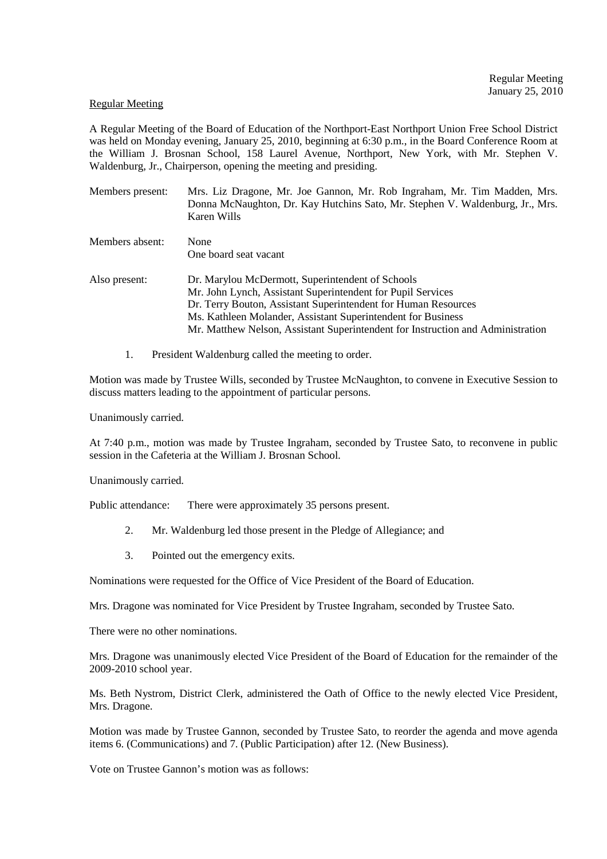#### Regular Meeting

A Regular Meeting of the Board of Education of the Northport-East Northport Union Free School District was held on Monday evening, January 25, 2010, beginning at 6:30 p.m., in the Board Conference Room at the William J. Brosnan School, 158 Laurel Avenue, Northport, New York, with Mr. Stephen V. Waldenburg, Jr., Chairperson, opening the meeting and presiding.

| Members present: | Mrs. Liz Dragone, Mr. Joe Gannon, Mr. Rob Ingraham, Mr. Tim Madden, Mrs.<br>Donna McNaughton, Dr. Kay Hutchins Sato, Mr. Stephen V. Waldenburg, Jr., Mrs.<br>Karen Wills |  |  |
|------------------|--------------------------------------------------------------------------------------------------------------------------------------------------------------------------|--|--|
| Members absent:  | None                                                                                                                                                                     |  |  |
|                  | One board seat vacant                                                                                                                                                    |  |  |
| Also present:    | Dr. Marylou McDermott, Superintendent of Schools                                                                                                                         |  |  |
|                  | Mr. John Lynch, Assistant Superintendent for Pupil Services                                                                                                              |  |  |
|                  | Dr. Terry Bouton, Assistant Superintendent for Human Resources                                                                                                           |  |  |
|                  | Ms. Kathleen Molander, Assistant Superintendent for Business                                                                                                             |  |  |
|                  | Mr. Matthew Nelson, Assistant Superintendent for Instruction and Administration                                                                                          |  |  |

1. President Waldenburg called the meeting to order.

Motion was made by Trustee Wills, seconded by Trustee McNaughton, to convene in Executive Session to discuss matters leading to the appointment of particular persons.

Unanimously carried.

At 7:40 p.m., motion was made by Trustee Ingraham, seconded by Trustee Sato, to reconvene in public session in the Cafeteria at the William J. Brosnan School.

Unanimously carried.

Public attendance: There were approximately 35 persons present.

- 2. Mr. Waldenburg led those present in the Pledge of Allegiance; and
- 3. Pointed out the emergency exits.

Nominations were requested for the Office of Vice President of the Board of Education.

Mrs. Dragone was nominated for Vice President by Trustee Ingraham, seconded by Trustee Sato.

There were no other nominations.

Mrs. Dragone was unanimously elected Vice President of the Board of Education for the remainder of the 2009-2010 school year.

Ms. Beth Nystrom, District Clerk, administered the Oath of Office to the newly elected Vice President, Mrs. Dragone.

Motion was made by Trustee Gannon, seconded by Trustee Sato, to reorder the agenda and move agenda items 6. (Communications) and 7. (Public Participation) after 12. (New Business).

Vote on Trustee Gannon's motion was as follows: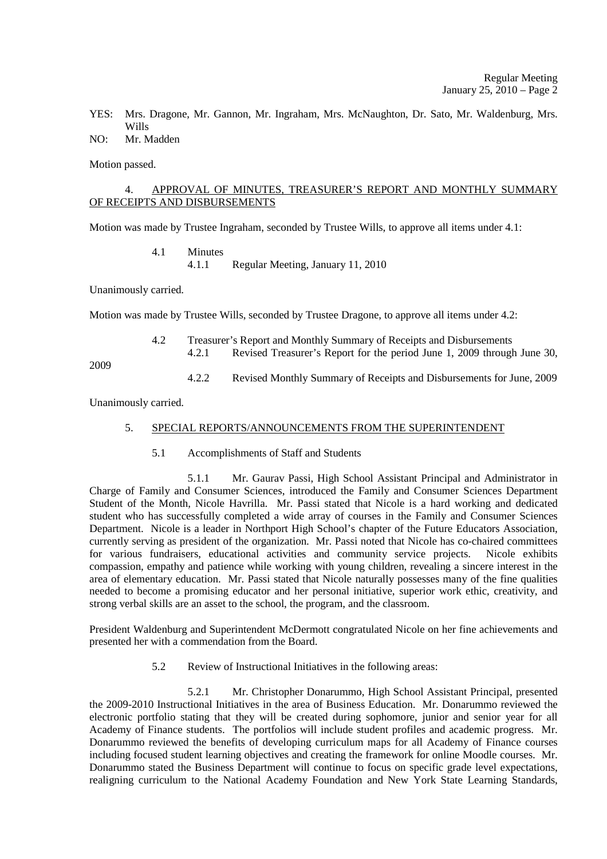YES: Mrs. Dragone, Mr. Gannon, Mr. Ingraham, Mrs. McNaughton, Dr. Sato, Mr. Waldenburg, Mrs. Wills

# NO: Mr. Madden

Motion passed.

## 4. APPROVAL OF MINUTES, TREASURER'S REPORT AND MONTHLY SUMMARY OF RECEIPTS AND DISBURSEMENTS

Motion was made by Trustee Ingraham, seconded by Trustee Wills, to approve all items under 4.1:

#### 4.1 Minutes 4.1.1 Regular Meeting, January 11, 2010

Unanimously carried.

Motion was made by Trustee Wills, seconded by Trustee Dragone, to approve all items under 4.2:

|     | Treasurer's Report and Monthly Summary of Receipts and Disbursements |                                                                         |  |  |  |
|-----|----------------------------------------------------------------------|-------------------------------------------------------------------------|--|--|--|
|     |                                                                      | Revised Treasurer's Report for the period June 1, 2009 through June 30, |  |  |  |
| റററ |                                                                      |                                                                         |  |  |  |

2009

4.2.2 Revised Monthly Summary of Receipts and Disbursements for June, 2009

Unanimously carried.

#### 5. SPECIAL REPORTS/ANNOUNCEMENTS FROM THE SUPERINTENDENT

5.1 Accomplishments of Staff and Students

 5.1.1 Mr. Gaurav Passi, High School Assistant Principal and Administrator in Charge of Family and Consumer Sciences, introduced the Family and Consumer Sciences Department Student of the Month, Nicole Havrilla. Mr. Passi stated that Nicole is a hard working and dedicated student who has successfully completed a wide array of courses in the Family and Consumer Sciences Department. Nicole is a leader in Northport High School's chapter of the Future Educators Association, currently serving as president of the organization. Mr. Passi noted that Nicole has co-chaired committees for various fundraisers, educational activities and community service projects. Nicole exhibits compassion, empathy and patience while working with young children, revealing a sincere interest in the area of elementary education. Mr. Passi stated that Nicole naturally possesses many of the fine qualities needed to become a promising educator and her personal initiative, superior work ethic, creativity, and strong verbal skills are an asset to the school, the program, and the classroom.

President Waldenburg and Superintendent McDermott congratulated Nicole on her fine achievements and presented her with a commendation from the Board.

5.2 Review of Instructional Initiatives in the following areas:

 5.2.1 Mr. Christopher Donarummo, High School Assistant Principal, presented the 2009-2010 Instructional Initiatives in the area of Business Education. Mr. Donarummo reviewed the electronic portfolio stating that they will be created during sophomore, junior and senior year for all Academy of Finance students. The portfolios will include student profiles and academic progress. Mr. Donarummo reviewed the benefits of developing curriculum maps for all Academy of Finance courses including focused student learning objectives and creating the framework for online Moodle courses. Mr. Donarummo stated the Business Department will continue to focus on specific grade level expectations, realigning curriculum to the National Academy Foundation and New York State Learning Standards,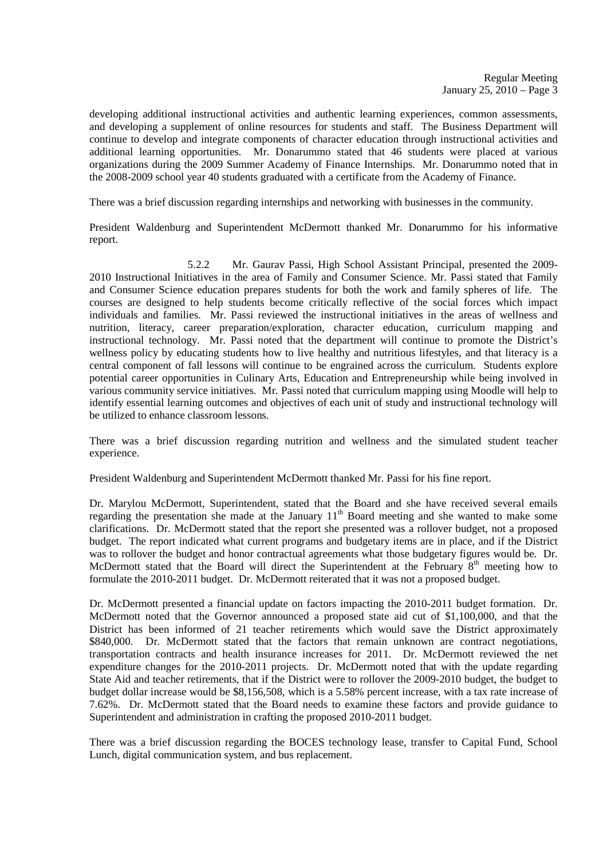developing additional instructional activities and authentic learning experiences, common assessments, and developing a supplement of online resources for students and staff. The Business Department will continue to develop and integrate components of character education through instructional activities and additional learning opportunities. Mr. Donarummo stated that 46 students were placed at various organizations during the 2009 Summer Academy of Finance Internships. Mr. Donarummo noted that in the 2008-2009 school year 40 students graduated with a certificate from the Academy of Finance.

There was a brief discussion regarding internships and networking with businesses in the community.

President Waldenburg and Superintendent McDermott thanked Mr. Donarummo for his informative report.

 5.2.2 Mr. Gaurav Passi, High School Assistant Principal, presented the 2009- 2010 Instructional Initiatives in the area of Family and Consumer Science. Mr. Passi stated that Family and Consumer Science education prepares students for both the work and family spheres of life. The courses are designed to help students become critically reflective of the social forces which impact individuals and families. Mr. Passi reviewed the instructional initiatives in the areas of wellness and nutrition, literacy, career preparation/exploration, character education, curriculum mapping and instructional technology. Mr. Passi noted that the department will continue to promote the District's wellness policy by educating students how to live healthy and nutritious lifestyles, and that literacy is a central component of fall lessons will continue to be engrained across the curriculum. Students explore potential career opportunities in Culinary Arts, Education and Entrepreneurship while being involved in various community service initiatives. Mr. Passi noted that curriculum mapping using Moodle will help to identify essential learning outcomes and objectives of each unit of study and instructional technology will be utilized to enhance classroom lessons.

There was a brief discussion regarding nutrition and wellness and the simulated student teacher experience.

President Waldenburg and Superintendent McDermott thanked Mr. Passi for his fine report.

Dr. Marylou McDermott, Superintendent, stated that the Board and she have received several emails regarding the presentation she made at the January  $11<sup>th</sup>$  Board meeting and she wanted to make some clarifications. Dr. McDermott stated that the report she presented was a rollover budget, not a proposed budget. The report indicated what current programs and budgetary items are in place, and if the District was to rollover the budget and honor contractual agreements what those budgetary figures would be. Dr. McDermott stated that the Board will direct the Superintendent at the February 8<sup>th</sup> meeting how to formulate the 2010-2011 budget. Dr. McDermott reiterated that it was not a proposed budget.

Dr. McDermott presented a financial update on factors impacting the 2010-2011 budget formation. Dr. McDermott noted that the Governor announced a proposed state aid cut of \$1,100,000, and that the District has been informed of 21 teacher retirements which would save the District approximately \$840,000. Dr. McDermott stated that the factors that remain unknown are contract negotiations, transportation contracts and health insurance increases for 2011. Dr. McDermott reviewed the net expenditure changes for the 2010-2011 projects. Dr. McDermott noted that with the update regarding State Aid and teacher retirements, that if the District were to rollover the 2009-2010 budget, the budget to budget dollar increase would be \$8,156,508, which is a 5.58% percent increase, with a tax rate increase of 7.62%. Dr. McDermott stated that the Board needs to examine these factors and provide guidance to Superintendent and administration in crafting the proposed 2010-2011 budget.

There was a brief discussion regarding the BOCES technology lease, transfer to Capital Fund, School Lunch, digital communication system, and bus replacement.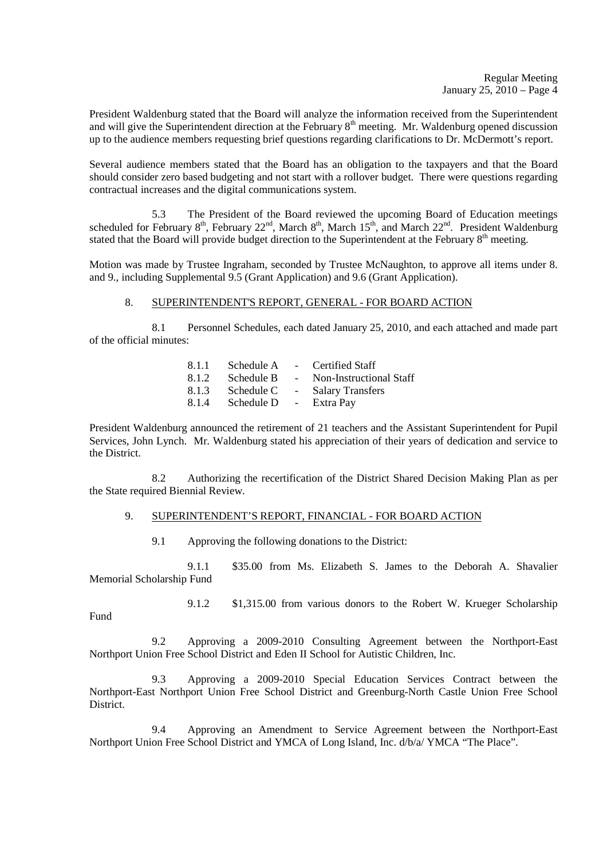President Waldenburg stated that the Board will analyze the information received from the Superintendent and will give the Superintendent direction at the February 8<sup>th</sup> meeting. Mr. Waldenburg opened discussion up to the audience members requesting brief questions regarding clarifications to Dr. McDermott's report.

Several audience members stated that the Board has an obligation to the taxpayers and that the Board should consider zero based budgeting and not start with a rollover budget. There were questions regarding contractual increases and the digital communications system.

 5.3 The President of the Board reviewed the upcoming Board of Education meetings scheduled for February  $8<sup>th</sup>$ , February 22<sup>nd</sup>, March  $8<sup>th</sup>$ , March  $15<sup>th</sup>$ , and March  $22<sup>nd</sup>$ . President Waldenburg stated that the Board will provide budget direction to the Superintendent at the February  $8<sup>th</sup>$  meeting.

Motion was made by Trustee Ingraham, seconded by Trustee McNaughton, to approve all items under 8. and 9., including Supplemental 9.5 (Grant Application) and 9.6 (Grant Application).

## 8. SUPERINTENDENT'S REPORT, GENERAL - FOR BOARD ACTION

 8.1 Personnel Schedules, each dated January 25, 2010, and each attached and made part of the official minutes:

| Schedule A |            | - Certified Staff       |
|------------|------------|-------------------------|
| Schedule B | $\sim$     | Non-Instructional Staff |
| Schedule C | $\sim$ $-$ | <b>Salary Transfers</b> |
| Schedule D | $\sim$ $-$ | Extra Pay               |
|            |            |                         |

President Waldenburg announced the retirement of 21 teachers and the Assistant Superintendent for Pupil Services, John Lynch. Mr. Waldenburg stated his appreciation of their years of dedication and service to the District.

 8.2 Authorizing the recertification of the District Shared Decision Making Plan as per the State required Biennial Review.

#### 9. SUPERINTENDENT'S REPORT, FINANCIAL - FOR BOARD ACTION

9.1 Approving the following donations to the District:

 9.1.1 \$35.00 from Ms. Elizabeth S. James to the Deborah A. Shavalier Memorial Scholarship Fund

9.1.2 \$1,315.00 from various donors to the Robert W. Krueger Scholarship

Fund

 9.2 Approving a 2009-2010 Consulting Agreement between the Northport-East Northport Union Free School District and Eden II School for Autistic Children, Inc.

 9.3 Approving a 2009-2010 Special Education Services Contract between the Northport-East Northport Union Free School District and Greenburg-North Castle Union Free School District.

 9.4 Approving an Amendment to Service Agreement between the Northport-East Northport Union Free School District and YMCA of Long Island, Inc. d/b/a/ YMCA "The Place".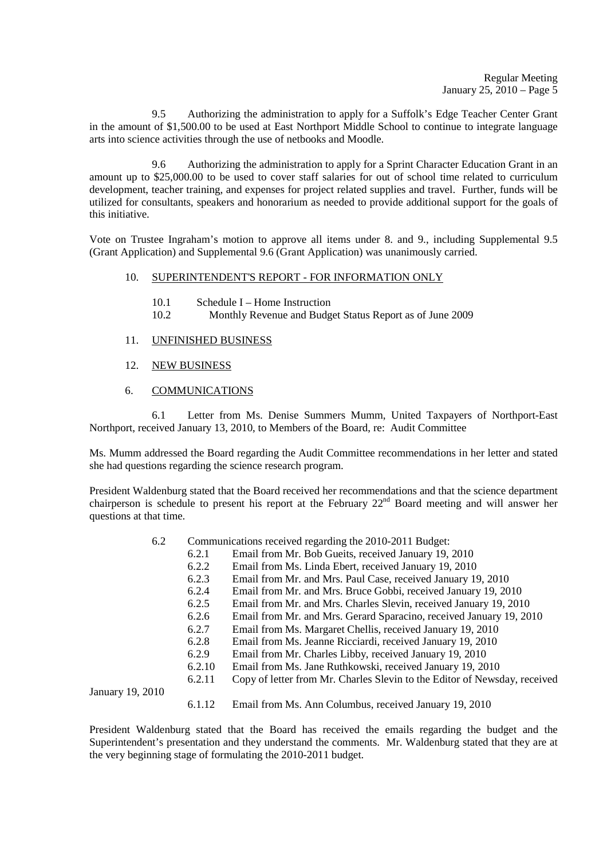9.5 Authorizing the administration to apply for a Suffolk's Edge Teacher Center Grant in the amount of \$1,500.00 to be used at East Northport Middle School to continue to integrate language arts into science activities through the use of netbooks and Moodle.

 9.6 Authorizing the administration to apply for a Sprint Character Education Grant in an amount up to \$25,000.00 to be used to cover staff salaries for out of school time related to curriculum development, teacher training, and expenses for project related supplies and travel. Further, funds will be utilized for consultants, speakers and honorarium as needed to provide additional support for the goals of this initiative.

Vote on Trustee Ingraham's motion to approve all items under 8. and 9., including Supplemental 9.5 (Grant Application) and Supplemental 9.6 (Grant Application) was unanimously carried.

#### 10. SUPERINTENDENT'S REPORT - FOR INFORMATION ONLY

- 10.1 Schedule I Home Instruction
- 10.2 Monthly Revenue and Budget Status Report as of June 2009
- 11. UNFINISHED BUSINESS
- 12. NEW BUSINESS
- 6. COMMUNICATIONS

 6.1 Letter from Ms. Denise Summers Mumm, United Taxpayers of Northport-East Northport, received January 13, 2010, to Members of the Board, re: Audit Committee

Ms. Mumm addressed the Board regarding the Audit Committee recommendations in her letter and stated she had questions regarding the science research program.

President Waldenburg stated that the Board received her recommendations and that the science department chairperson is schedule to present his report at the February 22nd Board meeting and will answer her questions at that time.

- 6.2 Communications received regarding the 2010-2011 Budget:
	- 6.2.1 Email from Mr. Bob Gueits, received January 19, 2010<br>6.2.2 Email from Ms. Linda Ebert, received January 19, 2010
	- 6.2.2 Email from Ms. Linda Ebert, received January 19, 2010
	- 6.2.3 Email from Mr. and Mrs. Paul Case, received January 19, 2010
	- 6.2.4 Email from Mr. and Mrs. Bruce Gobbi, received January 19, 2010
	- 6.2.5 Email from Mr. and Mrs. Charles Slevin, received January 19, 2010
	- 6.2.6 Email from Mr. and Mrs. Gerard Sparacino, received January 19, 2010
	- 6.2.7 Email from Ms. Margaret Chellis, received January 19, 2010
	- 6.2.8 Email from Ms. Jeanne Ricciardi, received January 19, 2010
	- 6.2.9 Email from Mr. Charles Libby, received January 19, 2010
	- 6.2.10 Email from Ms. Jane Ruthkowski, received January 19, 2010
	- 6.2.11 Copy of letter from Mr. Charles Slevin to the Editor of Newsday, received

January 19, 2010

6.1.12 Email from Ms. Ann Columbus, received January 19, 2010

President Waldenburg stated that the Board has received the emails regarding the budget and the Superintendent's presentation and they understand the comments. Mr. Waldenburg stated that they are at the very beginning stage of formulating the 2010-2011 budget.